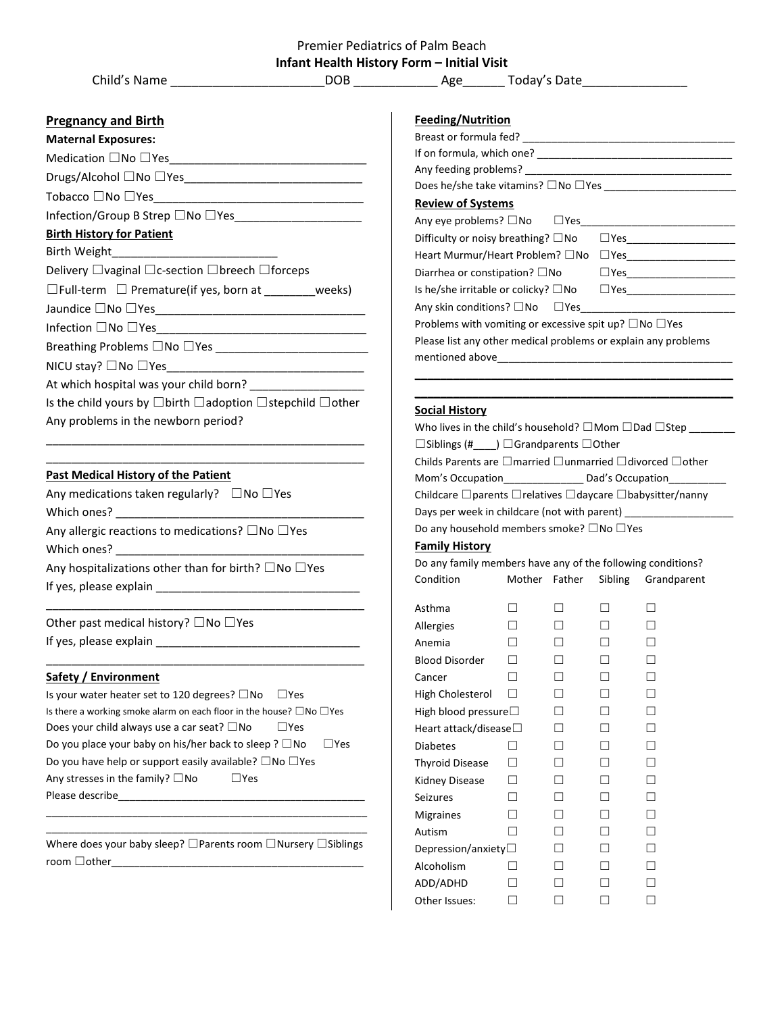| Premier Pediatrics of Palm Beach           |  |
|--------------------------------------------|--|
| Infant Health History Form – Initial Visit |  |

| Child's Name |
|--------------|
|--------------|

**Pregnancy and Birth Maternal Exposures:** Medication  $\square$  No  $\square$  Yes

| DOB. |                                                       |                                              |
|------|-------------------------------------------------------|----------------------------------------------|
|      | <b>Feeding/Nutrition</b>                              |                                              |
|      | Breast or formula fed?                                |                                              |
|      | If on formula, which one?                             |                                              |
|      | Does he/she take vitamins? $\square$ No $\square$ Yes |                                              |
|      |                                                       | Today's Date<br>Age<br>Any feeding problems? |

# **Review of Systems**

| NGVIGW OF JYJWHID                                                       |               |
|-------------------------------------------------------------------------|---------------|
| Any eye problems? $\square$ No $\square$ Yes                            |               |
| Difficulty or noisy breathing? $\square$ No                             | $\square$ Yes |
| Heart Murmur/Heart Problem? □No                                         | $\square$ Yes |
| Diarrhea or constipation? $\square$ No                                  | $\square$ Yes |
| Is he/she irritable or colicky? $\square$ No                            | $\square$ Yes |
| Any skin conditions? $\square$ No $\square$ Yes                         |               |
| Problems with vomiting or excessive spit up? $\square$ No $\square$ Yes |               |
| Please list any other medical problems or explain any problems          |               |
| mentioned above                                                         |               |
|                                                                         |               |

**\_\_\_\_\_\_\_\_\_\_\_\_\_\_\_\_\_\_\_\_\_\_\_\_\_\_\_\_\_\_\_\_\_\_\_\_\_\_\_\_\_\_\_\_\_\_\_\_\_\_**

## **Social History**

| Who lives in the child's household? $\Box$ Mom $\Box$ Dad $\Box$ Step            |  |  |  |
|----------------------------------------------------------------------------------|--|--|--|
| $\Box$ Siblings (# ) $\Box$ Grandparents $\Box$ Other                            |  |  |  |
| Childs Parents are $\Box$ married $\Box$ unmarried $\Box$ divorced $\Box$ other  |  |  |  |
| Mom's Occupation_________________ Dad's Occupation__________                     |  |  |  |
| Childcare $\Box$ parents $\Box$ relatives $\Box$ daycare $\Box$ babysitter/nanny |  |  |  |
| Days per week in childcare (not with parent)                                     |  |  |  |
| Do any household members smoke? $\square$ No $\square$ Yes                       |  |  |  |

#### **Family History**

| Do any family members have any of the following conditions? |        |        |         |             |
|-------------------------------------------------------------|--------|--------|---------|-------------|
| Condition                                                   | Mother | Father | Sibling | Grandparent |
| Asthma                                                      |        |        |         |             |
|                                                             |        |        |         |             |
| Allergies<br>Anemia                                         |        |        |         |             |
|                                                             |        |        |         |             |
| <b>Blood Disorder</b>                                       |        |        |         |             |
| Cancer                                                      |        |        |         |             |
| High Cholesterol                                            |        |        |         |             |
| High blood pressure $\square$                               |        |        |         |             |
| Heart attack/disease $\square$                              |        |        |         |             |
| <b>Diabetes</b>                                             |        |        |         |             |
| <b>Thyroid Disease</b>                                      |        |        |         |             |
| Kidney Disease                                              |        |        |         |             |
| Seizures                                                    |        |        |         |             |
| <b>Migraines</b>                                            |        |        |         |             |
| Autism                                                      |        |        |         |             |
| Depression/anxiety $\Box$                                   |        |        |         |             |
| Alcoholism                                                  |        |        |         |             |
| ADD/ADHD                                                    |        |        |         |             |
| Other Issues:                                               |        |        |         |             |
|                                                             |        |        |         |             |

| Infection/Group B Strep □No □Yes_____________________                 |  |
|-----------------------------------------------------------------------|--|
| <b>Birth History for Patient</b>                                      |  |
| Birth Weight___________________________                               |  |
| Delivery $\Box$ vaginal $\Box$ c-section $\Box$ breech $\Box$ forceps |  |
| $\square$ Full-term $\square$ Premature(if yes, born at weeks)        |  |
|                                                                       |  |
| Infection □No □Yes________________________________                    |  |
|                                                                       |  |
| NICU stay? □No □Yes                                                   |  |

At which hospital was your child born? \_\_\_\_\_\_\_\_\_\_\_\_\_\_\_\_\_\_

Is the child yours by ☐birth ☐adoption ☐stepchild ☐other Any problems in the newborn period?

\_\_\_\_\_\_\_\_\_\_\_\_\_\_\_\_\_\_\_\_\_\_\_\_\_\_\_\_\_\_\_\_\_\_\_\_\_\_\_\_\_\_\_\_\_\_\_\_\_\_ \_\_\_\_\_\_\_\_\_\_\_\_\_\_\_\_\_\_\_\_\_\_\_\_\_\_\_\_\_\_\_\_\_\_\_\_\_\_\_\_\_\_\_\_\_\_\_\_\_\_

#### **Past Medical History of the Patient**

| Any medications taken regularly? $\Box$ No $\Box$ Yes             |  |
|-------------------------------------------------------------------|--|
| Which ones?                                                       |  |
| Any allergic reactions to medications? $\square$ No $\square$ Yes |  |
| Which ones?                                                       |  |

Any hospitalizations other than for birth?  $\square$  No  $\square$  Yes If yes, please explain \_\_\_\_\_\_\_\_\_\_\_\_\_\_\_\_\_\_\_\_\_\_\_\_\_\_\_\_\_\_\_\_

\_\_\_\_\_\_\_\_\_\_\_\_\_\_\_\_\_\_\_\_\_\_\_\_\_\_\_\_\_\_\_\_\_\_\_\_\_\_\_\_\_\_\_\_\_\_\_\_\_\_

\_\_\_\_\_\_\_\_\_\_\_\_\_\_\_\_\_\_\_\_\_\_\_\_\_\_\_\_\_\_\_\_\_\_\_\_\_\_\_\_\_\_\_\_\_\_\_\_\_\_

# Other past medical history? □No □Yes

If yes, please explain \_\_\_\_\_\_\_\_\_\_\_\_\_\_\_\_\_\_\_\_\_\_\_\_\_\_\_\_\_\_\_\_

## **Safety / Environment**

Is your water heater set to 120 degrees? □No □Yes Is there a working smoke alarm on each floor in the house? ☐No ☐Yes Does your child always use a car seat?  $\square$  No  $\square$  Yes Do you place your baby on his/her back to sleep ? □No □Yes Do you have help or support easily available? □No □Yes Any stresses in the family?  $\square$  No  $\square$  Yes Please describe\_\_\_\_\_\_\_\_\_\_\_\_\_\_\_\_\_\_\_\_\_\_\_\_\_\_\_\_\_\_\_\_\_\_\_\_\_\_\_\_\_\_\_

\_\_\_\_\_\_\_\_\_\_\_\_\_\_\_\_\_\_\_\_\_\_\_\_\_\_\_\_\_\_\_\_\_\_\_\_\_\_\_\_\_\_\_\_\_\_\_\_\_\_\_\_\_\_\_\_ Where does your baby sleep? □Parents room □Nursery □Siblings room ☐other\_\_\_\_\_\_\_\_\_\_\_\_\_\_\_\_\_\_\_\_\_\_\_\_\_\_\_\_\_\_\_\_\_\_\_\_\_\_\_\_\_\_\_\_

\_\_\_\_\_\_\_\_\_\_\_\_\_\_\_\_\_\_\_\_\_\_\_\_\_\_\_\_\_\_\_\_\_\_\_\_\_\_\_\_\_\_\_\_\_\_\_\_\_\_\_\_\_\_\_\_